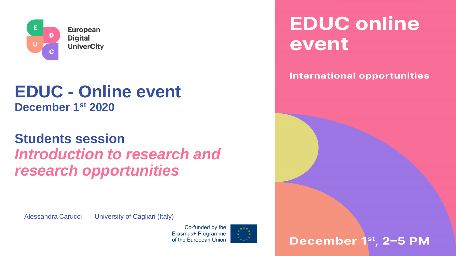

#### **EDUC - Online event December 1 st 2020**

#### **Students session** *Introduction to research and research opportunities*

Alessandra Carucci University of Cagliari (Italy)



**EDUC online** event

#### **International opportunities**

**December 1st, 2-5 PM**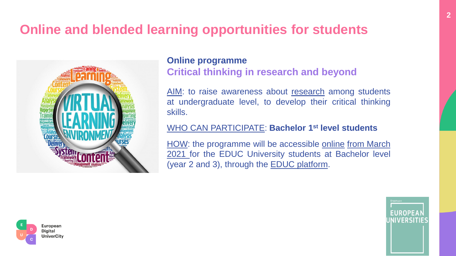#### **Online and blended learning opportunities for students**



#### **Online programme Critical thinking in research and beyond**

AIM: to raise awareness about research among students at undergraduate level, to develop their critical thinking skills.

#### WHO CAN PARTICIPATE: **Bachelor 1 st level students**

HOW: the programme will be accessible online from March 2021 for the EDUC University students at Bachelor level (year 2 and 3), through the **EDUC** platform.



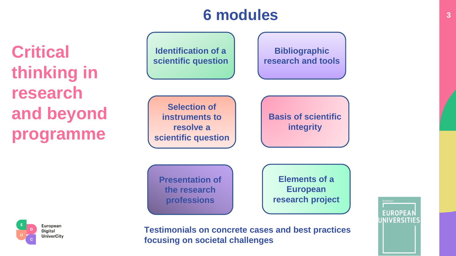#### **6 modules**

**Critical thinking in research and beyond programme**





**Testimonials on concrete cases and best practices focusing on societal challenges** 

**EUROPEA INIVERSITIES**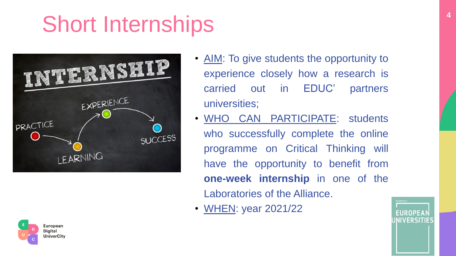# Short Internships





- AIM: To give students the opportunity to experience closely how a research is carried out in EDUC' partners universities;
- WHO CAN PARTICIPATE: students who successfully complete the online programme on Critical Thinking will have the opportunity to benefit from **one-week internship** in one of the Laboratories of the Alliance.
- WHEN: year 2021/22

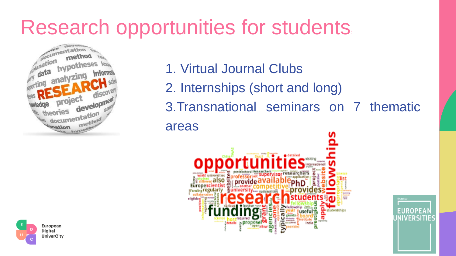### Research opportunities for students:



- 1. Virtual Journal Clubs
- 2. Internships (short and long)
- 3.Transnational seminars on 7 thematic areas





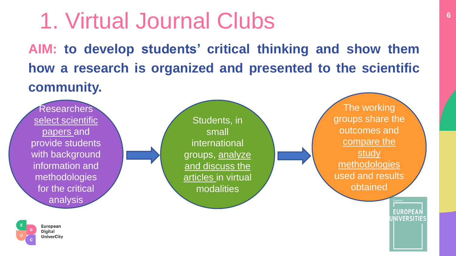## 1. Virtual Journal Clubs

**AIM: to develop students' critical thinking and show them how a research is organized and presented to the scientific community.**

**Researchers** select scientific papers and provide students with background information and methodologies for the critical analysis

Students, in small international groups, analyze and discuss the articles in virtual modalities

The working groups share the outcomes and compare the **study** methodologies used and results obtained

> **EUROPEA** UNIVERSITIES

**6**

**European Digital UniverCity**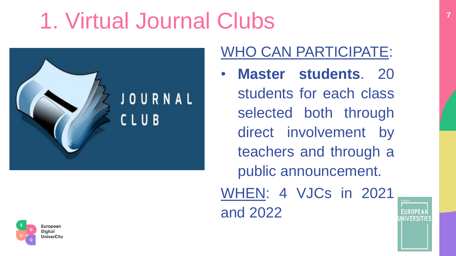## 1. Virtual Journal Clubs





#### WHO CAN PARTICIPATE:

• **Master students**. 20 students for each class selected both through direct involvement by teachers and through a public announcement. WHEN: 4 VJCs in 2021

and 2022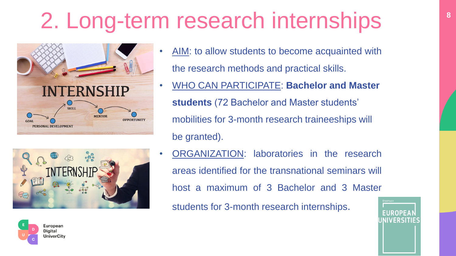# 2. Long-term research internships





- AIM: to allow students to become acquainted with the research methods and practical skills.
- WHO CAN PARTICIPATE: **Bachelor and Master students** (72 Bachelor and Master students' mobilities for 3-month research traineeships will be granted).
- ORGANIZATION: laboratories in the research areas identified for the transnational seminars will host a maximum of 3 Bachelor and 3 Master

students for 3-month research internships.



**8**

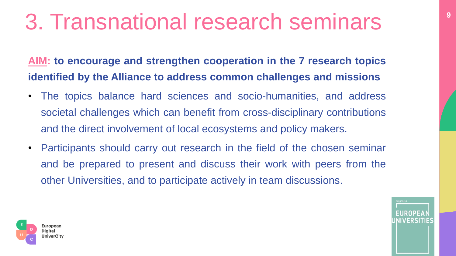## 3. Transnational research seminars

**AIM: to encourage and strengthen cooperation in the 7 research topics identified by the Alliance to address common challenges and missions**

- The topics balance hard sciences and socio-humanities, and address societal challenges which can benefit from cross-disciplinary contributions and the direct involvement of local ecosystems and policy makers.
- Participants should carry out research in the field of the chosen seminar and be prepared to present and discuss their work with peers from the other Universities, and to participate actively in team discussions.



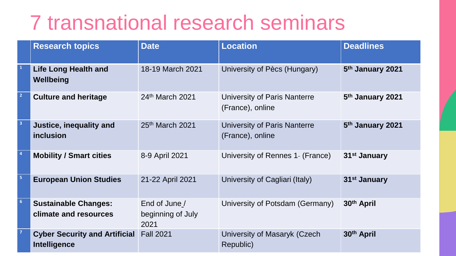### 7 transnational research seminars

|                         | <b>Research topics</b>                               | <b>Date</b>                                | <b>Location</b>                                  | <b>Deadlines</b>             |
|-------------------------|------------------------------------------------------|--------------------------------------------|--------------------------------------------------|------------------------------|
|                         | <b>Life Long Health and</b><br>Wellbeing             | 18-19 March 2021                           | University of Pècs (Hungary)                     | 5 <sup>th</sup> January 2021 |
| $\vert$ 2               | <b>Culture and heritage</b>                          | 24th March 2021                            | University of Paris Nanterre<br>(France), online | 5 <sup>th</sup> January 2021 |
| $\overline{\mathbf{3}}$ | Justice, inequality and<br>inclusion                 | 25th March 2021                            | University of Paris Nanterre<br>(France), online | 5 <sup>th</sup> January 2021 |
| $\vert$ 4               | <b>Mobility / Smart cities</b>                       | 8-9 April 2021                             | University of Rennes 1- (France)                 | 31 <sup>st</sup> January     |
| 5                       | <b>European Union Studies</b>                        | 21-22 April 2021                           | University of Cagliari (Italy)                   | 31 <sup>st</sup> January     |
| $6\overline{6}$         | <b>Sustainable Changes:</b><br>climate and resources | End of June /<br>beginning of July<br>2021 | University of Potsdam (Germany)                  | 30th April                   |
| $\vert$ 7               | <b>Cyber Security and Artificial</b><br>Intelligence | <b>Fall 2021</b>                           | University of Masaryk (Czech<br>Republic)        | 30th April                   |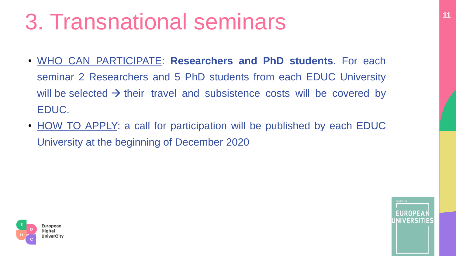## **<sup>11</sup>** 3. Transnational seminars

- WHO CAN PARTICIPATE: **Researchers and PhD students**. For each seminar 2 Researchers and 5 PhD students from each EDUC University will be selected  $\rightarrow$  their travel and subsistence costs will be covered by EDUC.
- HOW TO APPLY: a call for participation will be published by each EDUC University at the beginning of December 2020